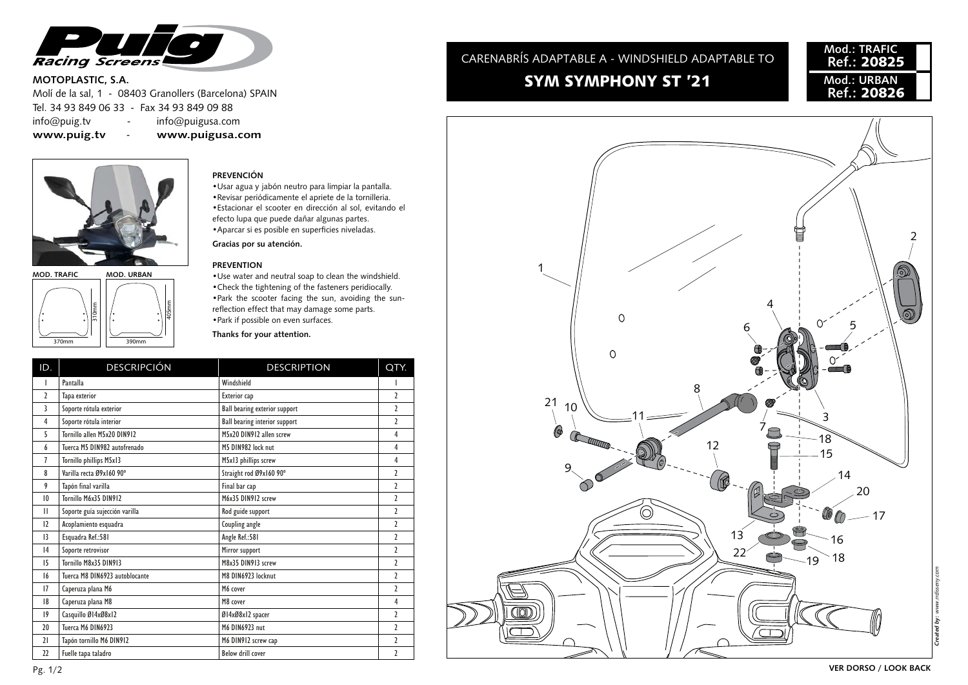

### **MOTOPLASTIC, S.A.**

Molí de la sal, 1 - 08403 Granollers (Barcelona) SPAIN Tel. 34 93 849 06 33 - Fax 34 93 849 09 88 info@puig.tv - info@puigusa.com **www.puig.tv** - **www.puigusa.com**





## **PREVENCIÓN**

•Usar agua y jabón neutro para limpiar la pantalla. •Revisar periódicamente el apriete de la tornilleria. •Estacionar el scooter en dirección al sol, evitando el efecto lupa que puede dañar algunas partes. • Aparcar si es posible en superficies niveladas.

**Gracias por su atención.**

#### **PREVENTION**

•Use water and neutral soap to clean the windshield. •Check the tightening of the fasteners peridiocally. •Park the scooter facing the sun, avoiding the sunreflection effect that may damage some parts. •Park if possible on even surfaces.

**Thanks for your attention.**

| ID.            | <b>DESCRIPCIÓN</b>             | <b>DESCRIPTION</b>                   | QTY.                     |
|----------------|--------------------------------|--------------------------------------|--------------------------|
| $\mathbf{I}$   | Pantalla                       | Windshield                           |                          |
| $\overline{2}$ | Tapa exterior                  | Exterior cap                         | $\overline{\phantom{a}}$ |
| 3              | Soporte rótula exterior        | <b>Ball bearing exterior support</b> | $\overline{\phantom{a}}$ |
| $\overline{4}$ | Soporte rótula interior        | <b>Ball bearing interior support</b> | $\overline{\phantom{a}}$ |
| 5              | Tornillo allen M5x20 DIN912    | M5x20 DIN912 allen screw             | 4                        |
| 6              | Tuerca M5 DIN982 autofrenado   | M5 DIN982 lock nut                   | 4                        |
| $\overline{1}$ | Tornillo phillips M5x13        | M5x13 phillips screw                 | 4                        |
| 8              | Varilla recta Ø9x160 90°       | Straight rod Ø9x160 90°              | $\overline{2}$           |
| 9              | Tapón final varilla            | Final bar cap                        | $\overline{2}$           |
| 10             | Tornillo M6x35 DIN912          | M6x35 DIN912 screw                   | $\overline{\phantom{a}}$ |
| $\mathbf{H}$   | Soporte guía sujección varilla | Rod guide support                    | $\overline{ }$           |
| 12             | Acoplamiento esquadra          | Coupling angle                       | $\overline{2}$           |
| 13             | Esquadra Ref.: 581             | Angle Ref.: 581                      | $\overline{\phantom{a}}$ |
| 4              | Soporte retrovisor             | Mirror support                       | $\overline{2}$           |
| 15             | Tornillo M8x35 DIN913          | M8x35 DIN913 screw                   | $\overline{2}$           |
| 16             | Tuerca M8 DIN6923 autoblocante | M8 DIN6923 locknut                   | $\overline{ }$           |
| 17             | Caperuza plana M6              | M6 cover                             | $\overline{2}$           |
| 18             | Caperuza plana M8              | M8 cover                             | 4                        |
| $ 9\rangle$    | Casquillo Ø14xØ8x12            | Ø14xØ8x12 spacer                     | $\overline{\phantom{a}}$ |
| 20             | Tuerca M6 DIN6923              | M6 DIN6923 nut                       | $\overline{2}$           |
| 21             | Tapón tornillo M6 DIN912       | M6 DIN912 screw cap                  | $\overline{2}$           |
| 22             | Fuelle tapa taladro            | <b>Below drill cover</b>             | $\overline{2}$           |

# SYM SYMPHONY ST '21 CARENABRÍS ADAPTABLE A - WINDSHIELD ADAPTABLE TO

## **Mod.: TRAFIC Ref.:** 20825 **Mod.: URBAN Ref.:** 20826